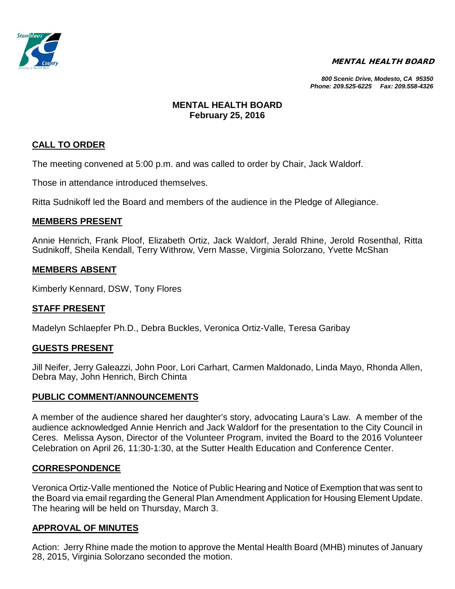

#### MENTAL HEALTH BOARD

*800 Scenic Drive, Modesto, CA 95350 Phone: 209.525-6225 Fax: 209.558-4326*

### **MENTAL HEALTH BOARD February 25, 2016**

## **CALL TO ORDER**

The meeting convened at 5:00 p.m. and was called to order by Chair, Jack Waldorf.

Those in attendance introduced themselves.

Ritta Sudnikoff led the Board and members of the audience in the Pledge of Allegiance.

#### **MEMBERS PRESENT**

Annie Henrich, Frank Ploof, Elizabeth Ortiz, Jack Waldorf, Jerald Rhine, Jerold Rosenthal, Ritta Sudnikoff, Sheila Kendall, Terry Withrow, Vern Masse, Virginia Solorzano, Yvette McShan

### **MEMBERS ABSENT**

Kimberly Kennard, DSW, Tony Flores

### **STAFF PRESENT**

Madelyn Schlaepfer Ph.D., Debra Buckles, Veronica Ortiz-Valle, Teresa Garibay

#### **GUESTS PRESENT**

Jill Neifer, Jerry Galeazzi, John Poor, Lori Carhart, Carmen Maldonado, Linda Mayo, Rhonda Allen, Debra May, John Henrich, Birch Chinta

#### **PUBLIC COMMENT/ANNOUNCEMENTS**

A member of the audience shared her daughter's story, advocating Laura's Law. A member of the audience acknowledged Annie Henrich and Jack Waldorf for the presentation to the City Council in Ceres. Melissa Ayson, Director of the Volunteer Program, invited the Board to the 2016 Volunteer Celebration on April 26, 11:30-1:30, at the Sutter Health Education and Conference Center.

### **CORRESPONDENCE**

Veronica Ortiz-Valle mentioned the Notice of Public Hearing and Notice of Exemption that was sent to the Board via email regarding the General Plan Amendment Application for Housing Element Update. The hearing will be held on Thursday, March 3.

### **APPROVAL OF MINUTES**

Action: Jerry Rhine made the motion to approve the Mental Health Board (MHB) minutes of January 28, 2015, Virginia Solorzano seconded the motion.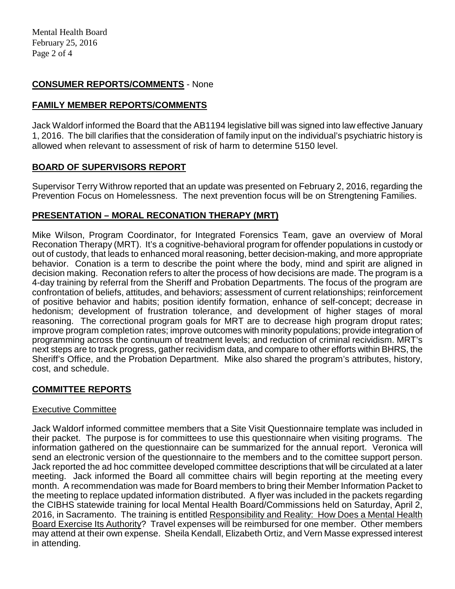## **CONSUMER REPORTS/COMMENTS** - None

# **FAMILY MEMBER REPORTS/COMMENTS**

Jack Waldorf informed the Board that the AB1194 legislative bill was signed into law effective January 1, 2016. The bill clarifies that the consideration of family input on the individual's psychiatric history is allowed when relevant to assessment of risk of harm to determine 5150 level.

# **BOARD OF SUPERVISORS REPORT**

Supervisor Terry Withrow reported that an update was presented on February 2, 2016, regarding the Prevention Focus on Homelessness. The next prevention focus will be on Strengtening Families.

# **PRESENTATION – MORAL RECONATION THERAPY (MRT)**

Mike Wilson, Program Coordinator, for Integrated Forensics Team, gave an overview of Moral Reconation Therapy (MRT). It's a cognitive-behavioral program for offender populations in custody or out of custody, that leads to enhanced moral reasoning, better decision-making, and more appropriate behavior. Conation is a term to describe the point where the body, mind and spirit are aligned in decision making. Reconation refers to alter the process of how decisions are made. The program is a 4-day training by referral from the Sheriff and Probation Departments. The focus of the program are confrontation of beliefs, attitudes, and behaviors; assessment of current relationships; reinforcement of positive behavior and habits; position identify formation, enhance of self-concept; decrease in hedonism; development of frustration tolerance, and development of higher stages of moral reasoning. The correctional program goals for MRT are to decrease high program droput rates; improve program completion rates; improve outcomes with minority populations; provide integration of programming across the continuum of treatment levels; and reduction of criminal recividism. MRT's next steps are to track progress, gather recividism data, and compare to other efforts within BHRS, the Sheriff's Office, and the Probation Department. Mike also shared the program's attributes, history, cost, and schedule.

# **COMMITTEE REPORTS**

### Executive Committee

Jack Waldorf informed committee members that a Site Visit Questionnaire template was included in their packet. The purpose is for committees to use this questionnaire when visiting programs. The information gathered on the questionnaire can be summarized for the annual report. Veronica will send an electronic version of the questionnaire to the members and to the comittee support person. Jack reported the ad hoc committee developed committee descriptions that will be circulated at a later meeting. Jack informed the Board all committee chairs will begin reporting at the meeting every month. A recommendation was made for Board members to bring their Member Information Packet to the meeting to replace updated information distributed. A flyer was included in the packets regarding the CIBHS statewide training for local Mental Health Board/Commissions held on Saturday, April 2, 2016, in Sacramento. The training is entitled Responsibility and Reality: How Does a Mental Health Board Exercise Its Authority? Travel expenses will be reimbursed for one member. Other members may attend at their own expense. Sheila Kendall, Elizabeth Ortiz, and Vern Masse expressed interest in attending.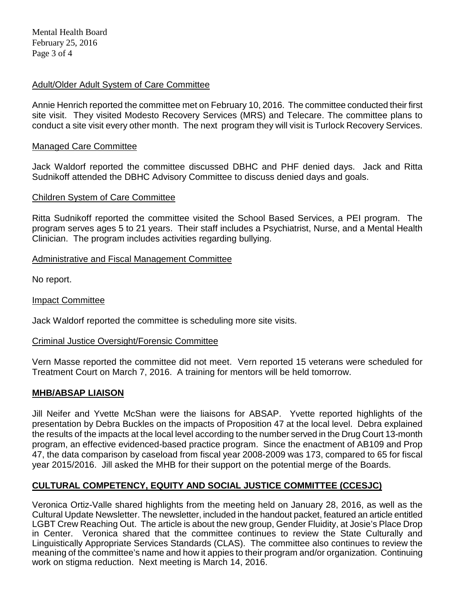## Adult/Older Adult System of Care Committee

Annie Henrich reported the committee met on February 10, 2016. The committee conducted their first site visit. They visited Modesto Recovery Services (MRS) and Telecare. The committee plans to conduct a site visit every other month. The next program they will visit is Turlock Recovery Services.

### Managed Care Committee

Jack Waldorf reported the committee discussed DBHC and PHF denied days. Jack and Ritta Sudnikoff attended the DBHC Advisory Committee to discuss denied days and goals.

### Children System of Care Committee

Ritta Sudnikoff reported the committee visited the School Based Services, a PEI program. The program serves ages 5 to 21 years. Their staff includes a Psychiatrist, Nurse, and a Mental Health Clinician. The program includes activities regarding bullying.

## Administrative and Fiscal Management Committee

No report.

### Impact Committee

Jack Waldorf reported the committee is scheduling more site visits.

### Criminal Justice Oversight/Forensic Committee

Vern Masse reported the committee did not meet. Vern reported 15 veterans were scheduled for Treatment Court on March 7, 2016. A training for mentors will be held tomorrow.

### **MHB/ABSAP LIAISON**

Jill Neifer and Yvette McShan were the liaisons for ABSAP. Yvette reported highlights of the presentation by Debra Buckles on the impacts of Proposition 47 at the local level. Debra explained the results of the impacts at the local level according to the number served in the Drug Court 13-month program, an effective evidenced-based practice program. Since the enactment of AB109 and Prop 47, the data comparison by caseload from fiscal year 2008-2009 was 173, compared to 65 for fiscal year 2015/2016. Jill asked the MHB for their support on the potential merge of the Boards.

# **CULTURAL COMPETENCY, EQUITY AND SOCIAL JUSTICE COMMITTEE (CCESJC)**

Veronica Ortiz-Valle shared highlights from the meeting held on January 28, 2016, as well as the Cultural Update Newsletter. The newsletter, included in the handout packet, featured an article entitled LGBT Crew Reaching Out. The article is about the new group, Gender Fluidity, at Josie's Place Drop in Center. Veronica shared that the committee continues to review the State Culturally and Linguistically Appropriate Services Standards (CLAS). The committee also continues to review the meaning of the committee's name and how it appies to their program and/or organization. Continuing work on stigma reduction. Next meeting is March 14, 2016.